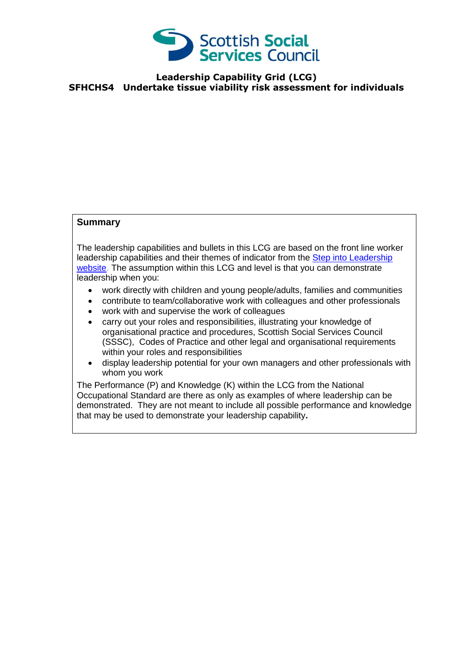

## **Leadership Capability Grid (LCG) SFHCHS4 Undertake tissue viability risk assessment for individuals**

## **Summary**

The leadership capabilities and bullets in this LCG are based on the front line worker leadership capabilities and their themes of indicator from the [Step into Leadership](http://www.stepintoleadership.info/)  [website.](http://www.stepintoleadership.info/) The assumption within this LCG and level is that you can demonstrate leadership when you:

- work directly with children and young people/adults, families and communities
- contribute to team/collaborative work with colleagues and other professionals
- work with and supervise the work of colleagues
- carry out your roles and responsibilities, illustrating your knowledge of organisational practice and procedures, Scottish Social Services Council (SSSC), Codes of Practice and other legal and organisational requirements within your roles and responsibilities
- display leadership potential for your own managers and other professionals with whom you work

The Performance (P) and Knowledge (K) within the LCG from the National Occupational Standard are there as only as examples of where leadership can be demonstrated. They are not meant to include all possible performance and knowledge that may be used to demonstrate your leadership capability**.**